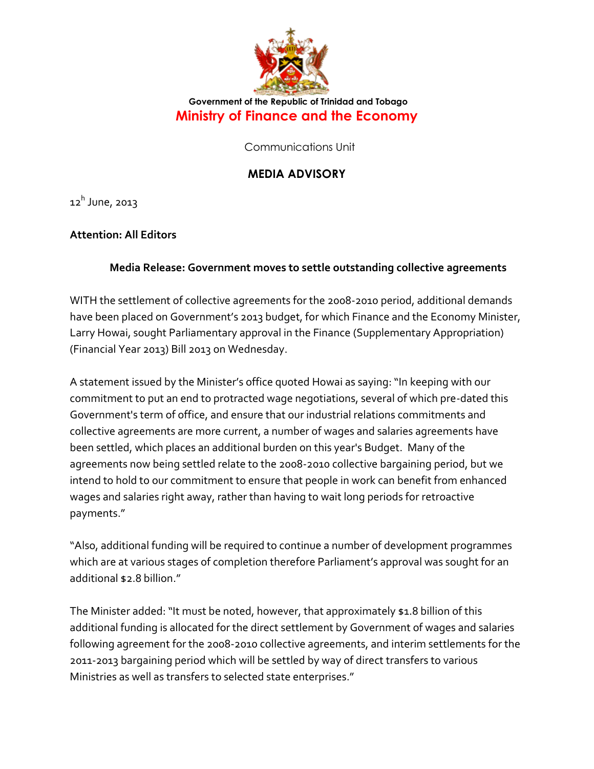

## **Government of the Republic of Trinidad and Tobago Ministry of Finance and the Economy**

Communications Unit

## **MEDIA ADVISORY**

12<sup>h</sup> June, 2013

## **Attention: All Editors**

## **Media Release: Government moves to settle outstanding collective agreements**

WITH the settlement of collective agreements for the 2008-2010 period, additional demands have been placed on Government's 2013 budget, for which Finance and the Economy Minister, Larry Howai, sought Parliamentary approval in the Finance (Supplementary Appropriation) (Financial Year 2013) Bill 2013 on Wednesday.

A statement issued by the Minister's office quoted Howai as saying: "In keeping with our commitment to put an end to protracted wage negotiations, several of which pre-dated this Government's term of office, and ensure that our industrial relations commitments and collective agreements are more current, a number of wages and salaries agreements have been settled, which places an additional burden on this year's Budget. Many of the agreements now being settled relate to the 2008-2010 collective bargaining period, but we intend to hold to our commitment to ensure that people in work can benefit from enhanced wages and salaries right away, rather than having to wait long periods for retroactive payments."

"Also, additional funding will be required to continue a number of development programmes which are at various stages of completion therefore Parliament's approval was sought for an additional \$2.8 billion."

The Minister added: "It must be noted, however, that approximately \$1.8 billion of this additional funding is allocated for the direct settlement by Government of wages and salaries following agreement for the 2008-2010 collective agreements, and interim settlements for the 2011-2013 bargaining period which will be settled by way of direct transfers to various Ministries as well as transfers to selected state enterprises."